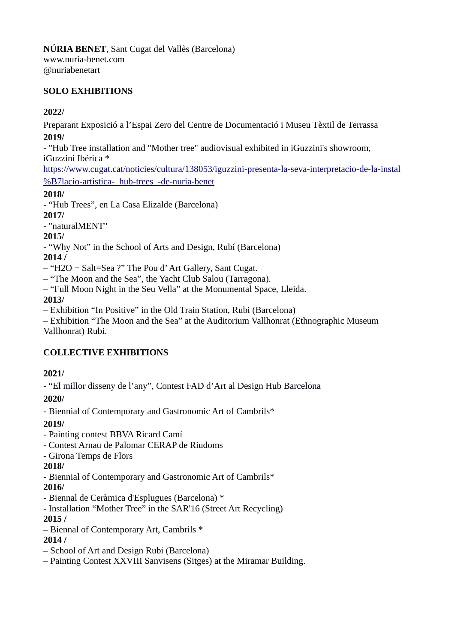#### **SOLO EXHIBITIONS**

#### **2022/**

Preparant Exposició a l'Espai Zero del Centre de Documentació i Museu Tèxtil de Terrassa **2019/**

- "Hub Tree installation and "Mother tree" audiovisual exhibited in iGuzzini's showroom, iGuzzini Ibérica \*

[https://www.cugat.cat/noticies/cultura/138053/iguzzini-presenta-la-seva-interpretacio-de-la-instal](https://www.cugat.cat/noticies/cultura/138053/iguzzini-presenta-la-seva-interpretacio-de-la-instal%B7lacio-artistica-_hub-trees_-de-nuria-benet) [%B7lacio-artistica-\\_hub-trees\\_-de-nuria-benet](https://www.cugat.cat/noticies/cultura/138053/iguzzini-presenta-la-seva-interpretacio-de-la-instal%B7lacio-artistica-_hub-trees_-de-nuria-benet)

**2018/**

- "Hub Trees", en La Casa Elizalde (Barcelona)

**2017/**

- "naturalMENT"

#### **2015/**

- "Why Not" in the School of Arts and Design, Rubí (Barcelona)

### **2014 /**

– "H2O + Salt=Sea ?" The Pou d' Art Gallery, Sant Cugat.

– "The Moon and the Sea", the Yacht Club Salou (Tarragona).

– "Full Moon Night in the Seu Vella" at the Monumental Space, Lleida.

#### **2013/**

– Exhibition "In Positive" in the Old Train Station, Rubi (Barcelona)

– Exhibition "The Moon and the Sea" at the Auditorium Vallhonrat (Ethnographic Museum Vallhonrat) Rubi.

## **COLLECTIVE EXHIBITIONS**

#### **2021/**

- "El millor disseny de l'any", Contest FAD d'Art al Design Hub Barcelona

**2020/**

- Biennial of Contemporary and Gastronomic Art of Cambrils\*

#### **2019/**

- Painting contest BBVA Ricard Camí

- Contest Arnau de Palomar CERAP de Riudoms
- Girona Temps de Flors

## **2018/**

- Biennial of Contemporary and Gastronomic Art of Cambrils\*

#### **2016/**

- Biennal de Ceràmica d'Esplugues (Barcelona) \*

- Installation "Mother Tree" in the SAR'16 (Street Art Recycling)
- **2015 /**
- Biennal of Contemporary Art, Cambrils \*

## **2014 /**

- School of Art and Design Rubi (Barcelona)
- Painting Contest XXVIII Sanvisens (Sitges) at the Miramar Building.